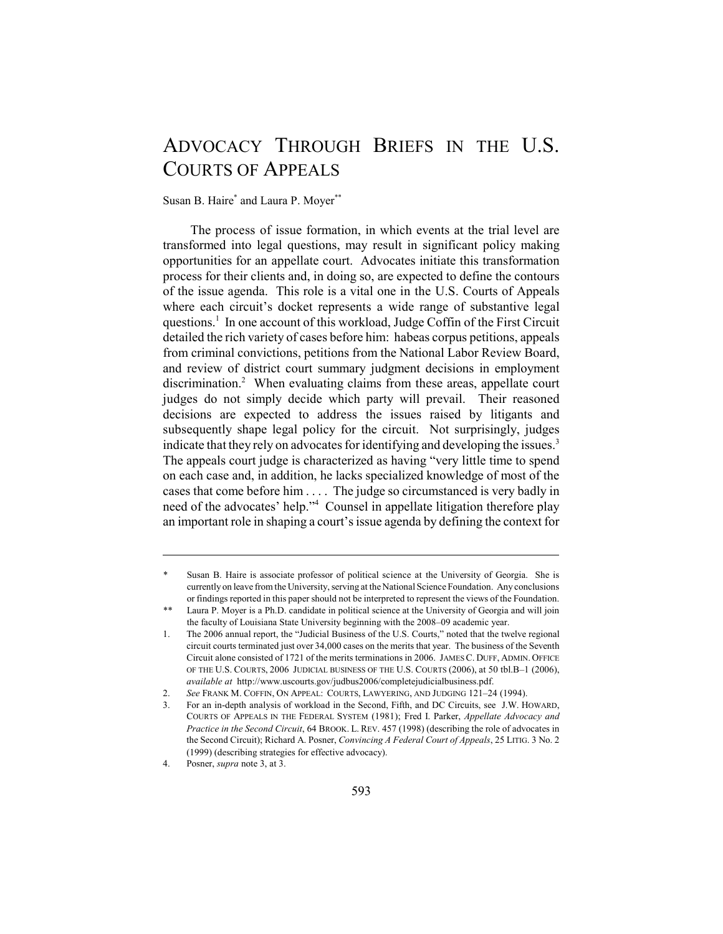# ADVOCACY THROUGH BRIEFS IN THE U.S. COURTS OF APPEALS

Susan B. Haire\* and Laura P. Moyer\*\*

The process of issue formation, in which events at the trial level are transformed into legal questions, may result in significant policy making opportunities for an appellate court. Advocates initiate this transformation process for their clients and, in doing so, are expected to define the contours of the issue agenda. This role is a vital one in the U.S. Courts of Appeals where each circuit's docket represents a wide range of substantive legal questions.<sup>1</sup> In one account of this workload, Judge Coffin of the First Circuit detailed the rich variety of cases before him: habeas corpus petitions, appeals from criminal convictions, petitions from the National Labor Review Board, and review of district court summary judgment decisions in employment discrimination.<sup>2</sup> When evaluating claims from these areas, appellate court judges do not simply decide which party will prevail. Their reasoned decisions are expected to address the issues raised by litigants and subsequently shape legal policy for the circuit. Not surprisingly, judges indicate that they rely on advocates for identifying and developing the issues.<sup>3</sup> The appeals court judge is characterized as having "very little time to spend on each case and, in addition, he lacks specialized knowledge of most of the cases that come before him . . . . The judge so circumstanced is very badly in need of the advocates' help."4 Counsel in appellate litigation therefore play an important role in shaping a court's issue agenda by defining the context for

Susan B. Haire is associate professor of political science at the University of Georgia. She is currently on leave from the University, serving at the National Science Foundation. Any conclusions or findings reported in this paper should not be interpreted to represent the views of the Foundation.

<sup>\*\*</sup> Laura P. Moyer is a Ph.D. candidate in political science at the University of Georgia and will join the faculty of Louisiana State University beginning with the 2008–09 academic year.

<sup>1.</sup> The 2006 annual report, the "Judicial Business of the U.S. Courts," noted that the twelve regional circuit courts terminated just over 34,000 cases on the merits that year. The business of the Seventh Circuit alone consisted of 1721 of the merits terminations in 2006. JAMES C. DUFF, ADMIN. OFFICE OF THE U.S. COURTS, 2006 JUDICIAL BUSINESS OF THE U.S. COURTS (2006), at 50 tbl.B–1 (2006), *available at* http://www.uscourts.gov/judbus2006/completejudicialbusiness.pdf.

<sup>2.</sup> *See* FRANK M. COFFIN, ON APPEAL: COURTS, LAWYERING, AND JUDGING 121–24 (1994).

<sup>3.</sup> For an in-depth analysis of workload in the Second, Fifth, and DC Circuits, see J.W. HOWARD, COURTS OF APPEALS IN THE FEDERAL SYSTEM (1981); Fred I. Parker, *Appellate Advocacy and Practice in the Second Circuit*, 64 BROOK. L. REV. 457 (1998) (describing the role of advocates in the Second Circuit); Richard A. Posner, *Convincing A Federal Court of Appeals*, 25 LITIG. 3 No. 2 (1999) (describing strategies for effective advocacy).

<sup>4.</sup> Posner, *supra* note 3, at 3.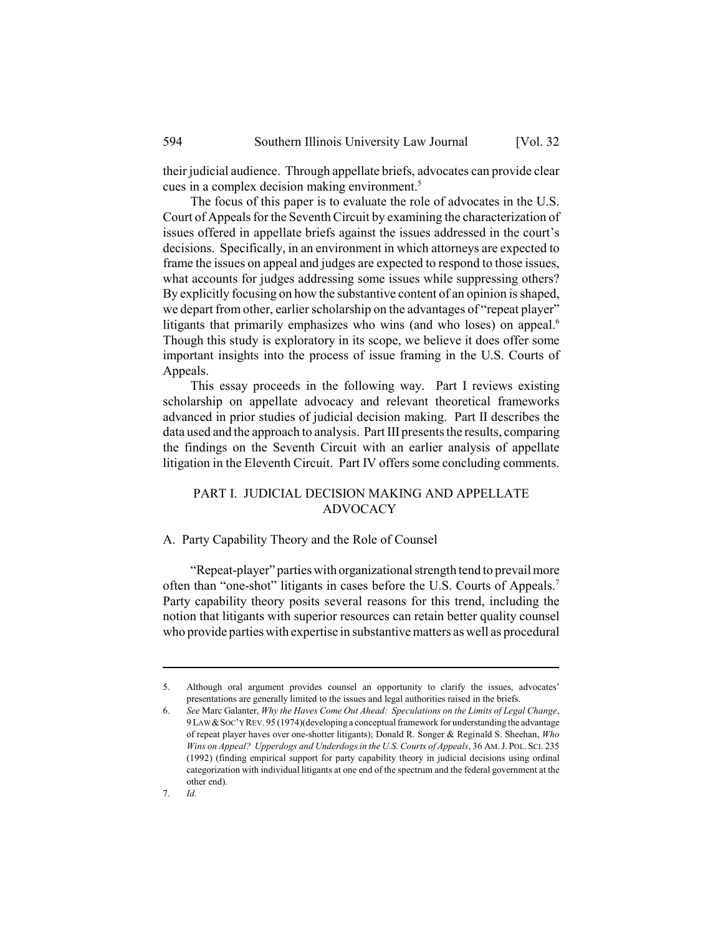their judicial audience. Through appellate briefs, advocates can provide clear cues in a complex decision making environment.<sup>5</sup>

The focus of this paper is to evaluate the role of advocates in the U.S. Court of Appeals for the Seventh Circuit by examining the characterization of issues offered in appellate briefs against the issues addressed in the court's decisions. Specifically, in an environment in which attorneys are expected to frame the issues on appeal and judges are expected to respond to those issues, what accounts for judges addressing some issues while suppressing others? By explicitly focusing on how the substantive content of an opinion is shaped, we depart from other, earlier scholarship on the advantages of "repeat player" litigants that primarily emphasizes who wins (and who loses) on appeal.<sup>6</sup> Though this study is exploratory in its scope, we believe it does offer some important insights into the process of issue framing in the U.S. Courts of Appeals.

This essay proceeds in the following way. Part I reviews existing scholarship on appellate advocacy and relevant theoretical frameworks advanced in prior studies of judicial decision making. Part II describes the data used and the approach to analysis. Part III presents the results, comparing the findings on the Seventh Circuit with an earlier analysis of appellate litigation in the Eleventh Circuit. Part IV offers some concluding comments.

# PART I. JUDICIAL DECISION MAKING AND APPELLATE ADVOCACY

# A. Party Capability Theory and the Role of Counsel

"Repeat-player" parties with organizational strength tend to prevail more often than "one-shot" litigants in cases before the U.S. Courts of Appeals.7 Party capability theory posits several reasons for this trend, including the notion that litigants with superior resources can retain better quality counsel who provide parties with expertise in substantive matters as well as procedural

<sup>5.</sup> Although oral argument provides counsel an opportunity to clarify the issues, advocates' presentations are generally limited to the issues and legal authorities raised in the briefs.

<sup>6.</sup> *See* Marc Galanter, *Why the Haves Come Out Ahead: Speculations on the Limits of Legal Change*, 9 LAW &SOC'Y REV. 95 (1974)(developing a conceptual framework for understanding the advantage of repeat player haves over one-shotter litigants); Donald R. Songer & Reginald S. Sheehan, *Who Wins on Appeal? Upperdogs and Underdogs in the U.S. Courts of Appeals*, 36 AM.J. POL. SCI. 235 (1992) (finding empirical support for party capability theory in judicial decisions using ordinal categorization with individual litigants at one end of the spectrum and the federal government at the other end).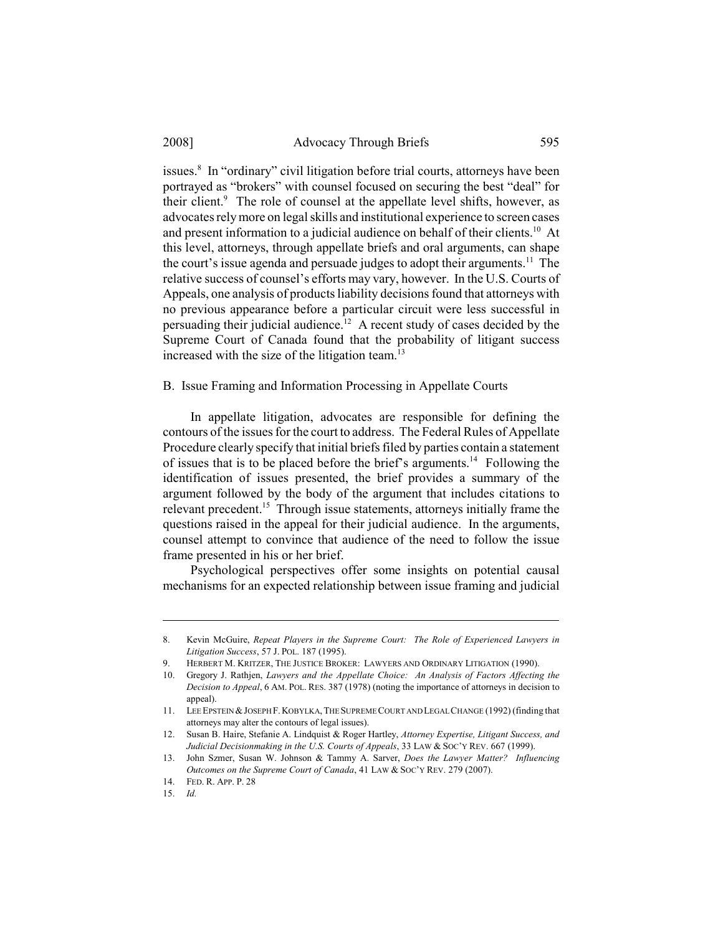issues.<sup>8</sup> In "ordinary" civil litigation before trial courts, attorneys have been portrayed as "brokers" with counsel focused on securing the best "deal" for their client.<sup>9</sup> The role of counsel at the appellate level shifts, however, as advocates rely more on legal skills and institutional experience to screen cases and present information to a judicial audience on behalf of their clients.<sup>10</sup> At this level, attorneys, through appellate briefs and oral arguments, can shape the court's issue agenda and persuade judges to adopt their arguments.<sup>11</sup> The relative success of counsel's efforts may vary, however. In the U.S. Courts of Appeals, one analysis of products liability decisions found that attorneys with no previous appearance before a particular circuit were less successful in persuading their judicial audience.<sup>12</sup> A recent study of cases decided by the Supreme Court of Canada found that the probability of litigant success increased with the size of the litigation team.<sup>13</sup>

B. Issue Framing and Information Processing in Appellate Courts

In appellate litigation, advocates are responsible for defining the contours of the issues for the court to address. The Federal Rules of Appellate Procedure clearly specify that initial briefs filed by parties contain a statement of issues that is to be placed before the brief's arguments.14 Following the identification of issues presented, the brief provides a summary of the argument followed by the body of the argument that includes citations to relevant precedent.15 Through issue statements, attorneys initially frame the questions raised in the appeal for their judicial audience. In the arguments, counsel attempt to convince that audience of the need to follow the issue frame presented in his or her brief.

Psychological perspectives offer some insights on potential causal mechanisms for an expected relationship between issue framing and judicial

<sup>8.</sup> Kevin McGuire, *Repeat Players in the Supreme Court: The Role of Experienced Lawyers in Litigation Success*, 57 J. POL. 187 (1995).

HERBERT M. KRITZER, THE JUSTICE BROKER: LAWYERS AND ORDINARY LITIGATION (1990).

<sup>10.</sup> Gregory J. Rathjen, *Lawyers and the Appellate Choice: An Analysis of Factors Affecting the Decision to Appeal*, 6 AM. POL. RES. 387 (1978) (noting the importance of attorneys in decision to appeal).

<sup>11.</sup> LEE EPSTEIN &JOSEPH F.KOBYLKA,THE SUPREME COURT AND LEGAL CHANGE (1992) (finding that attorneys may alter the contours of legal issues).

<sup>12.</sup> Susan B. Haire, Stefanie A. Lindquist & Roger Hartley, *Attorney Expertise, Litigant Success, and Judicial Decisionmaking in the U.S. Courts of Appeals*, 33 LAW & SOC'Y REV. 667 (1999).

<sup>13.</sup> John Szmer, Susan W. Johnson & Tammy A. Sarver, *Does the Lawyer Matter? Influencing Outcomes on the Supreme Court of Canada*, 41 LAW & SOC'Y REV. 279 (2007).

<sup>14.</sup> FED. R. APP. P. 28

<sup>15.</sup> *Id.*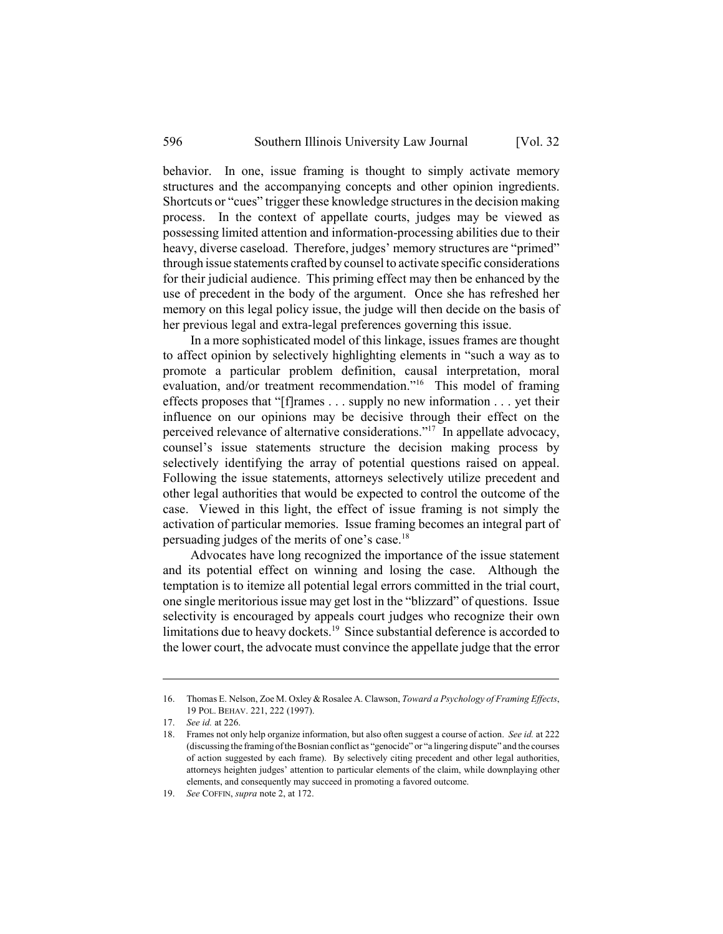behavior. In one, issue framing is thought to simply activate memory structures and the accompanying concepts and other opinion ingredients. Shortcuts or "cues" trigger these knowledge structures in the decision making process. In the context of appellate courts, judges may be viewed as possessing limited attention and information-processing abilities due to their heavy, diverse caseload. Therefore, judges' memory structures are "primed" through issue statements crafted by counsel to activate specific considerations for their judicial audience. This priming effect may then be enhanced by the use of precedent in the body of the argument. Once she has refreshed her memory on this legal policy issue, the judge will then decide on the basis of her previous legal and extra-legal preferences governing this issue.

In a more sophisticated model of this linkage, issues frames are thought to affect opinion by selectively highlighting elements in "such a way as to promote a particular problem definition, causal interpretation, moral evaluation, and/or treatment recommendation."<sup>16</sup> This model of framing effects proposes that "[f]rames . . . supply no new information . . . yet their influence on our opinions may be decisive through their effect on the perceived relevance of alternative considerations."17 In appellate advocacy, counsel's issue statements structure the decision making process by selectively identifying the array of potential questions raised on appeal. Following the issue statements, attorneys selectively utilize precedent and other legal authorities that would be expected to control the outcome of the case. Viewed in this light, the effect of issue framing is not simply the activation of particular memories. Issue framing becomes an integral part of persuading judges of the merits of one's case.18

Advocates have long recognized the importance of the issue statement and its potential effect on winning and losing the case. Although the temptation is to itemize all potential legal errors committed in the trial court, one single meritorious issue may get lost in the "blizzard" of questions. Issue selectivity is encouraged by appeals court judges who recognize their own limitations due to heavy dockets.<sup>19</sup> Since substantial deference is accorded to the lower court, the advocate must convince the appellate judge that the error

<sup>16.</sup> Thomas E. Nelson, Zoe M. Oxley & Rosalee A. Clawson, *Toward a Psychology of Framing Effects*, 19 POL. BEHAV. 221, 222 (1997).

<sup>17.</sup> *See id.* at 226.

<sup>18.</sup> Frames not only help organize information, but also often suggest a course of action. *See id.* at 222 (discussing the framing of the Bosnian conflict as "genocide" or "a lingering dispute" and the courses of action suggested by each frame). By selectively citing precedent and other legal authorities, attorneys heighten judges' attention to particular elements of the claim, while downplaying other elements, and consequently may succeed in promoting a favored outcome.

<sup>19.</sup> *See* COFFIN, *supra* note 2, at 172.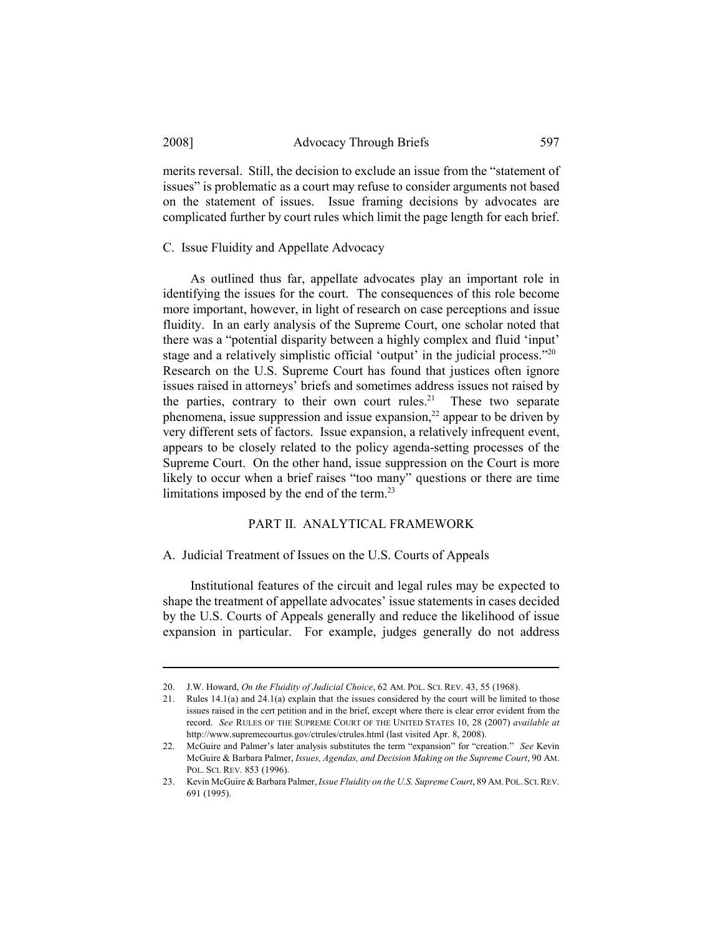merits reversal. Still, the decision to exclude an issue from the "statement of issues" is problematic as a court may refuse to consider arguments not based on the statement of issues. Issue framing decisions by advocates are complicated further by court rules which limit the page length for each brief.

C. Issue Fluidity and Appellate Advocacy

As outlined thus far, appellate advocates play an important role in identifying the issues for the court. The consequences of this role become more important, however, in light of research on case perceptions and issue fluidity. In an early analysis of the Supreme Court, one scholar noted that there was a "potential disparity between a highly complex and fluid 'input' stage and a relatively simplistic official 'output' in the judicial process."20 Research on the U.S. Supreme Court has found that justices often ignore issues raised in attorneys' briefs and sometimes address issues not raised by the parties, contrary to their own court rules.<sup>21</sup> These two separate phenomena, issue suppression and issue expansion.<sup>22</sup> appear to be driven by very different sets of factors. Issue expansion, a relatively infrequent event, appears to be closely related to the policy agenda-setting processes of the Supreme Court. On the other hand, issue suppression on the Court is more likely to occur when a brief raises "too many" questions or there are time limitations imposed by the end of the term.<sup>23</sup>

#### PART II. ANALYTICAL FRAMEWORK

#### A. Judicial Treatment of Issues on the U.S. Courts of Appeals

Institutional features of the circuit and legal rules may be expected to shape the treatment of appellate advocates' issue statements in cases decided by the U.S. Courts of Appeals generally and reduce the likelihood of issue expansion in particular. For example, judges generally do not address

<sup>20.</sup> J.W. Howard, *On the Fluidity of Judicial Choice*, 62 AM. POL. SCI. REV. 43, 55 (1968).

<sup>21.</sup> Rules 14.1(a) and 24.1(a) explain that the issues considered by the court will be limited to those issues raised in the cert petition and in the brief, except where there is clear error evident from the record. *See* RULES OF THE SUPREME COURT OF THE UNITED STATES 10, 28 (2007) *available at* http://www.supremecourtus.gov/ctrules/ctrules.html (last visited Apr. 8, 2008).

<sup>22.</sup> McGuire and Palmer's later analysis substitutes the term "expansion" for "creation." *See* Kevin McGuire & Barbara Palmer, *Issues, Agendas, and Decision Making on the Supreme Court*, 90 AM. POL. SCI. REV. 853 (1996).

<sup>23.</sup> Kevin McGuire & Barbara Palmer, *Issue Fluidity on the U.S. Supreme Court*, 89 AM.POL.SCI.REV. 691 (1995).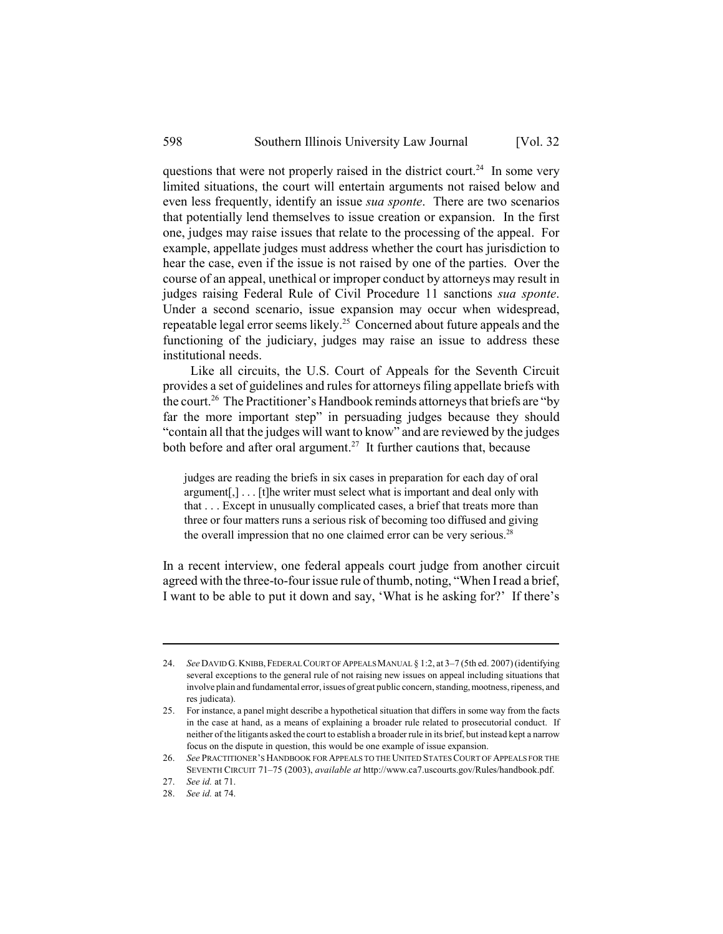questions that were not properly raised in the district court.<sup>24</sup> In some very limited situations, the court will entertain arguments not raised below and even less frequently, identify an issue *sua sponte*. There are two scenarios that potentially lend themselves to issue creation or expansion. In the first one, judges may raise issues that relate to the processing of the appeal. For example, appellate judges must address whether the court has jurisdiction to hear the case, even if the issue is not raised by one of the parties. Over the course of an appeal, unethical or improper conduct by attorneys may result in judges raising Federal Rule of Civil Procedure 11 sanctions *sua sponte*. Under a second scenario, issue expansion may occur when widespread, repeatable legal error seems likely.25 Concerned about future appeals and the functioning of the judiciary, judges may raise an issue to address these institutional needs.

Like all circuits, the U.S. Court of Appeals for the Seventh Circuit provides a set of guidelines and rules for attorneys filing appellate briefs with the court.26 The Practitioner's Handbook reminds attorneys that briefs are "by far the more important step" in persuading judges because they should "contain all that the judges will want to know" and are reviewed by the judges both before and after oral argument.<sup>27</sup> It further cautions that, because

judges are reading the briefs in six cases in preparation for each day of oral argument[,] . . . [t]he writer must select what is important and deal only with that . . . Except in unusually complicated cases, a brief that treats more than three or four matters runs a serious risk of becoming too diffused and giving the overall impression that no one claimed error can be very serious.<sup>28</sup>

In a recent interview, one federal appeals court judge from another circuit agreed with the three-to-four issue rule of thumb, noting, "When I read a brief, I want to be able to put it down and say, 'What is he asking for?' If there's

<sup>24.</sup> *See* DAVID G.KNIBB,FEDERAL COURT OF APPEALS MANUAL § 1:2, at 3–7 (5th ed. 2007) (identifying several exceptions to the general rule of not raising new issues on appeal including situations that involve plain and fundamental error, issues of great public concern, standing, mootness, ripeness, and res judicata).

<sup>25.</sup> For instance, a panel might describe a hypothetical situation that differs in some way from the facts in the case at hand, as a means of explaining a broader rule related to prosecutorial conduct. If neither of the litigants asked the court to establish a broader rule in its brief, but instead kept a narrow focus on the dispute in question, this would be one example of issue expansion.

<sup>26.</sup> *See* PRACTITIONER'S HANDBOOK FOR APPEALS TO THE UNITED STATES COURT OF APPEALS FOR THE SEVENTH CIRCUIT 71–75 (2003), *available at* http://www.ca7.uscourts.gov/Rules/handbook.pdf.

<sup>27.</sup> *See id.* at 71.

<sup>28.</sup> *See id.* at 74.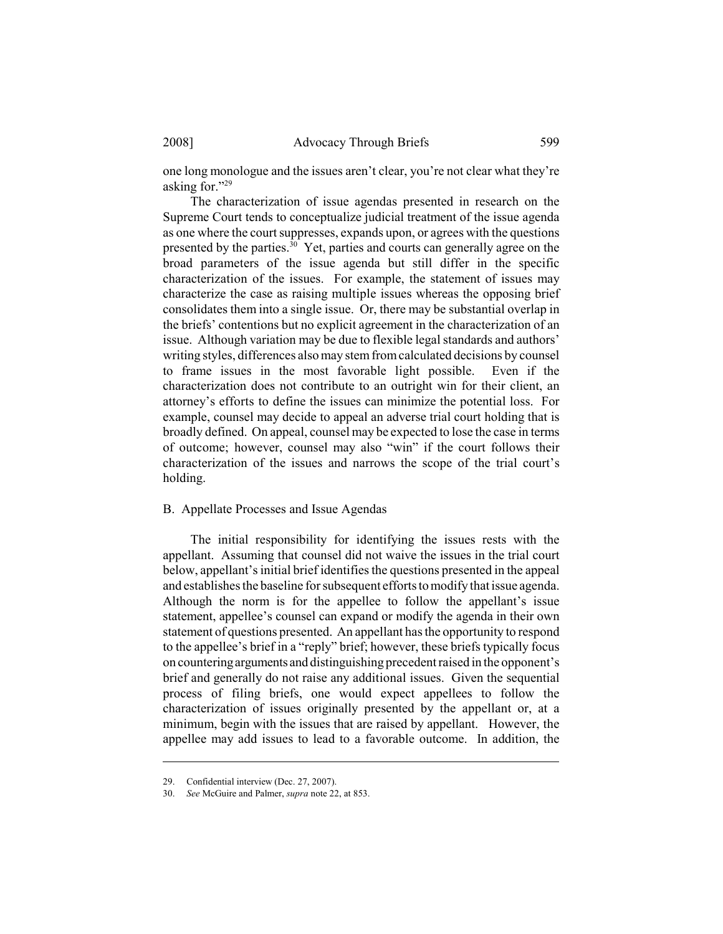one long monologue and the issues aren't clear, you're not clear what they're asking for."29

The characterization of issue agendas presented in research on the Supreme Court tends to conceptualize judicial treatment of the issue agenda as one where the court suppresses, expands upon, or agrees with the questions presented by the parties.<sup>30</sup> Yet, parties and courts can generally agree on the broad parameters of the issue agenda but still differ in the specific characterization of the issues. For example, the statement of issues may characterize the case as raising multiple issues whereas the opposing brief consolidates them into a single issue. Or, there may be substantial overlap in the briefs' contentions but no explicit agreement in the characterization of an issue. Although variation may be due to flexible legal standards and authors' writing styles, differences also may stem from calculated decisions by counsel to frame issues in the most favorable light possible. Even if the characterization does not contribute to an outright win for their client, an attorney's efforts to define the issues can minimize the potential loss. For example, counsel may decide to appeal an adverse trial court holding that is broadly defined. On appeal, counsel may be expected to lose the case in terms of outcome; however, counsel may also "win" if the court follows their characterization of the issues and narrows the scope of the trial court's holding.

#### B. Appellate Processes and Issue Agendas

The initial responsibility for identifying the issues rests with the appellant. Assuming that counsel did not waive the issues in the trial court below, appellant's initial brief identifies the questions presented in the appeal and establishes the baseline for subsequent efforts to modify that issue agenda. Although the norm is for the appellee to follow the appellant's issue statement, appellee's counsel can expand or modify the agenda in their own statement of questions presented. An appellant has the opportunity to respond to the appellee's brief in a "reply" brief; however, these briefs typically focus on countering arguments and distinguishing precedent raised in the opponent's brief and generally do not raise any additional issues. Given the sequential process of filing briefs, one would expect appellees to follow the characterization of issues originally presented by the appellant or, at a minimum, begin with the issues that are raised by appellant. However, the appellee may add issues to lead to a favorable outcome. In addition, the

<sup>29.</sup> Confidential interview (Dec. 27, 2007).

<sup>30.</sup> *See* McGuire and Palmer, *supra* note 22, at 853.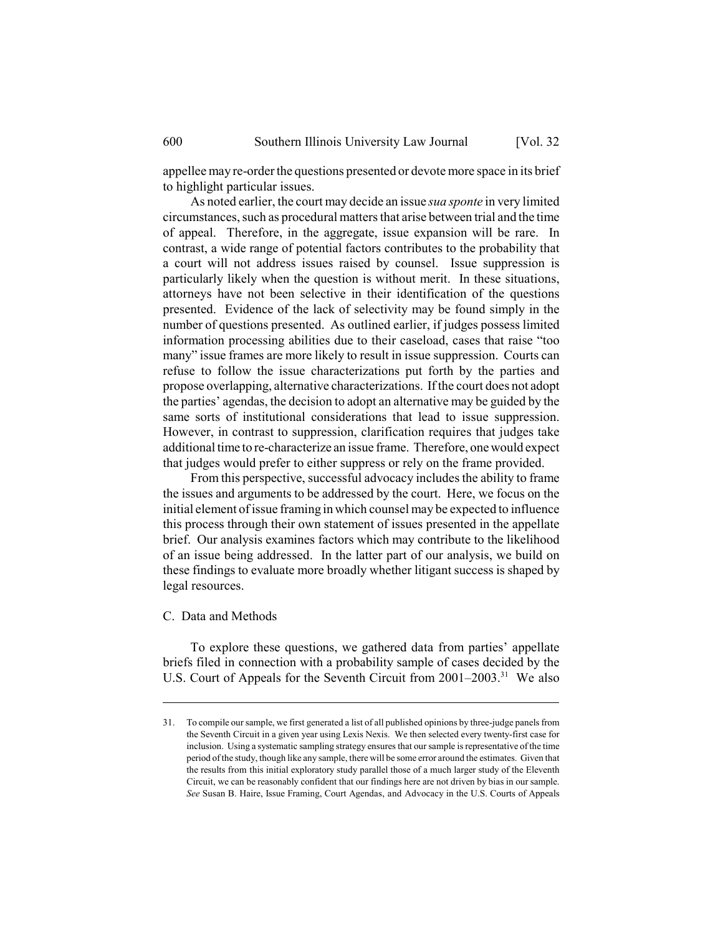appellee may re-order the questions presented or devote more space in its brief to highlight particular issues.

As noted earlier, the court may decide an issue *sua sponte* in very limited circumstances, such as procedural matters that arise between trial and the time of appeal. Therefore, in the aggregate, issue expansion will be rare. In contrast, a wide range of potential factors contributes to the probability that a court will not address issues raised by counsel. Issue suppression is particularly likely when the question is without merit. In these situations, attorneys have not been selective in their identification of the questions presented. Evidence of the lack of selectivity may be found simply in the number of questions presented. As outlined earlier, if judges possess limited information processing abilities due to their caseload, cases that raise "too many" issue frames are more likely to result in issue suppression. Courts can refuse to follow the issue characterizations put forth by the parties and propose overlapping, alternative characterizations. If the court does not adopt the parties' agendas, the decision to adopt an alternative may be guided by the same sorts of institutional considerations that lead to issue suppression. However, in contrast to suppression, clarification requires that judges take additional time to re-characterize an issue frame. Therefore, one would expect that judges would prefer to either suppress or rely on the frame provided.

From this perspective, successful advocacy includes the ability to frame the issues and arguments to be addressed by the court. Here, we focus on the initial element of issue framing in which counsel may be expected to influence this process through their own statement of issues presented in the appellate brief. Our analysis examines factors which may contribute to the likelihood of an issue being addressed. In the latter part of our analysis, we build on these findings to evaluate more broadly whether litigant success is shaped by legal resources.

#### C. Data and Methods

To explore these questions, we gathered data from parties' appellate briefs filed in connection with a probability sample of cases decided by the U.S. Court of Appeals for the Seventh Circuit from  $2001-2003$ <sup>31</sup> We also

<sup>31.</sup> To compile our sample, we first generated a list of all published opinions by three-judge panels from the Seventh Circuit in a given year using Lexis Nexis. We then selected every twenty-first case for inclusion. Using a systematic sampling strategy ensures that our sample is representative of the time period of the study, though like any sample, there will be some error around the estimates. Given that the results from this initial exploratory study parallel those of a much larger study of the Eleventh Circuit, we can be reasonably confident that our findings here are not driven by bias in our sample. *See* Susan B. Haire, Issue Framing, Court Agendas, and Advocacy in the U.S. Courts of Appeals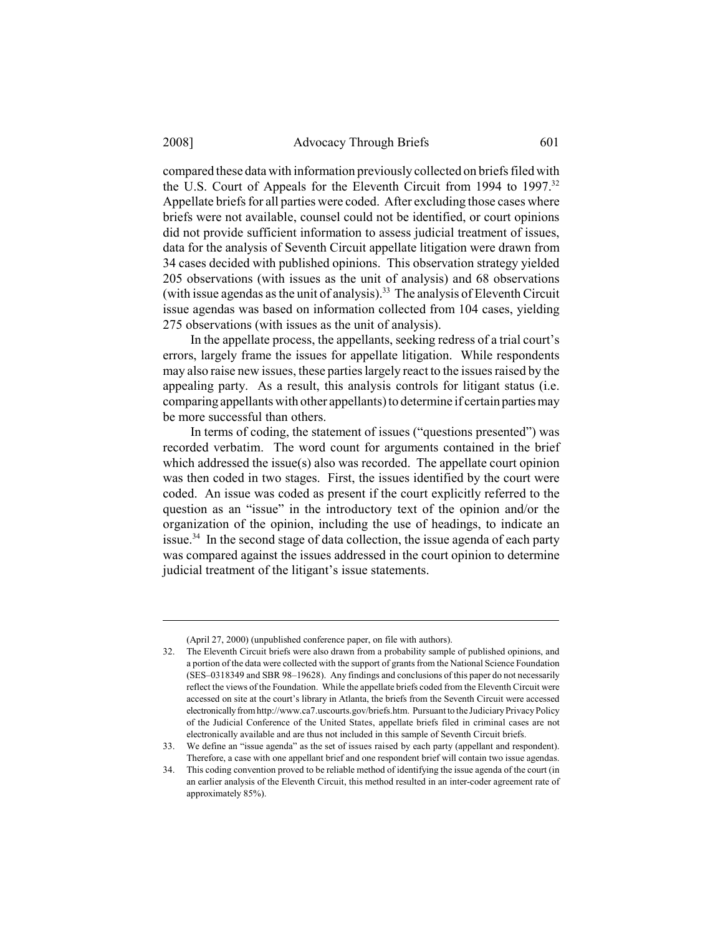compared these data with information previously collected on briefs filed with the U.S. Court of Appeals for the Eleventh Circuit from 1994 to 1997.32 Appellate briefs for all parties were coded. After excluding those cases where briefs were not available, counsel could not be identified, or court opinions did not provide sufficient information to assess judicial treatment of issues, data for the analysis of Seventh Circuit appellate litigation were drawn from 34 cases decided with published opinions. This observation strategy yielded 205 observations (with issues as the unit of analysis) and 68 observations (with issue agendas as the unit of analysis).<sup>33</sup> The analysis of Eleventh Circuit issue agendas was based on information collected from 104 cases, yielding 275 observations (with issues as the unit of analysis).

In the appellate process, the appellants, seeking redress of a trial court's errors, largely frame the issues for appellate litigation. While respondents may also raise new issues, these parties largely react to the issues raised by the appealing party. As a result, this analysis controls for litigant status (i.e. comparing appellants with other appellants) to determine if certain parties may be more successful than others.

In terms of coding, the statement of issues ("questions presented") was recorded verbatim. The word count for arguments contained in the brief which addressed the issue(s) also was recorded. The appellate court opinion was then coded in two stages. First, the issues identified by the court were coded. An issue was coded as present if the court explicitly referred to the question as an "issue" in the introductory text of the opinion and/or the organization of the opinion, including the use of headings, to indicate an issue.<sup>34</sup> In the second stage of data collection, the issue agenda of each party was compared against the issues addressed in the court opinion to determine judicial treatment of the litigant's issue statements.

<sup>(</sup>April 27, 2000) (unpublished conference paper, on file with authors).

<sup>32.</sup> The Eleventh Circuit briefs were also drawn from a probability sample of published opinions, and a portion of the data were collected with the support of grants from the National Science Foundation (SES–0318349 and SBR 98–19628). Any findings and conclusions of this paper do not necessarily reflect the views of the Foundation. While the appellate briefs coded from the Eleventh Circuit were accessed on site at the court's library in Atlanta, the briefs from the Seventh Circuit were accessed electronically from http://www.ca7.uscourts.gov/briefs.htm. Pursuant to the Judiciary Privacy Policy of the Judicial Conference of the United States, appellate briefs filed in criminal cases are not electronically available and are thus not included in this sample of Seventh Circuit briefs.

<sup>33.</sup> We define an "issue agenda" as the set of issues raised by each party (appellant and respondent). Therefore, a case with one appellant brief and one respondent brief will contain two issue agendas.

<sup>34.</sup> This coding convention proved to be reliable method of identifying the issue agenda of the court (in an earlier analysis of the Eleventh Circuit, this method resulted in an inter-coder agreement rate of approximately 85%).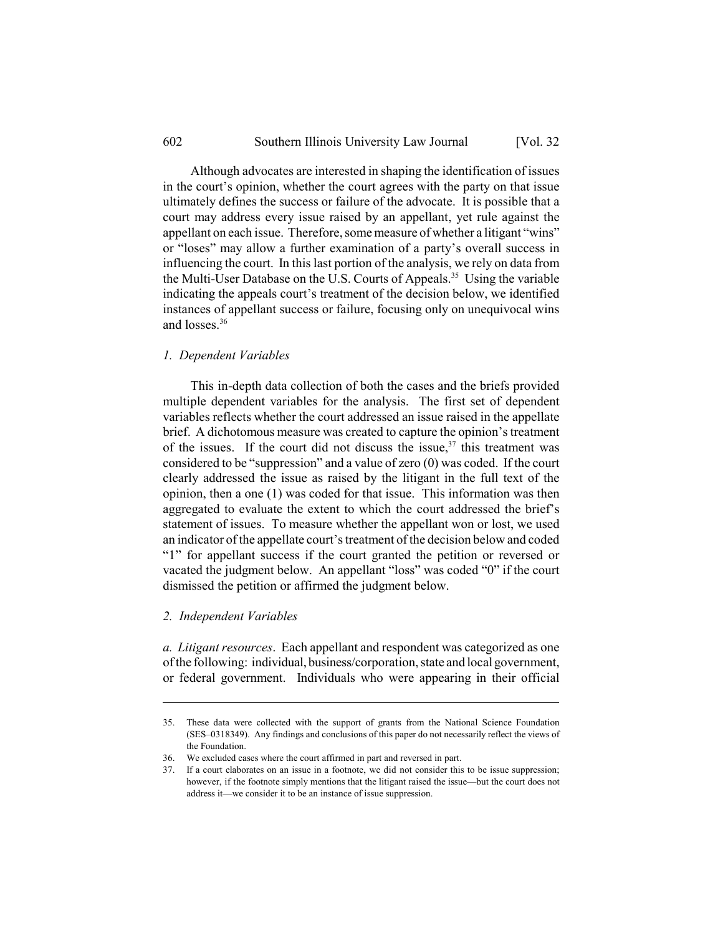Although advocates are interested in shaping the identification of issues in the court's opinion, whether the court agrees with the party on that issue ultimately defines the success or failure of the advocate. It is possible that a court may address every issue raised by an appellant, yet rule against the appellant on each issue. Therefore, some measure of whether a litigant "wins" or "loses" may allow a further examination of a party's overall success in influencing the court. In this last portion of the analysis, we rely on data from the Multi-User Database on the U.S. Courts of Appeals.<sup>35</sup> Using the variable indicating the appeals court's treatment of the decision below, we identified instances of appellant success or failure, focusing only on unequivocal wins and losses  $36$ 

## *1. Dependent Variables*

This in-depth data collection of both the cases and the briefs provided multiple dependent variables for the analysis. The first set of dependent variables reflects whether the court addressed an issue raised in the appellate brief. A dichotomous measure was created to capture the opinion's treatment of the issues. If the court did not discuss the issue,  $37$  this treatment was considered to be "suppression" and a value of zero (0) was coded. If the court clearly addressed the issue as raised by the litigant in the full text of the opinion, then a one (1) was coded for that issue. This information was then aggregated to evaluate the extent to which the court addressed the brief's statement of issues. To measure whether the appellant won or lost, we used an indicator of the appellate court's treatment of the decision below and coded "1" for appellant success if the court granted the petition or reversed or vacated the judgment below. An appellant "loss" was coded "0" if the court dismissed the petition or affirmed the judgment below.

## *2. Independent Variables*

*a. Litigant resources*. Each appellant and respondent was categorized as one of the following: individual, business/corporation, state and local government, or federal government. Individuals who were appearing in their official

<sup>35.</sup> These data were collected with the support of grants from the National Science Foundation (SES–0318349). Any findings and conclusions of this paper do not necessarily reflect the views of the Foundation.

<sup>36.</sup> We excluded cases where the court affirmed in part and reversed in part.

<sup>37.</sup> If a court elaborates on an issue in a footnote, we did not consider this to be issue suppression; however, if the footnote simply mentions that the litigant raised the issue—but the court does not address it—we consider it to be an instance of issue suppression.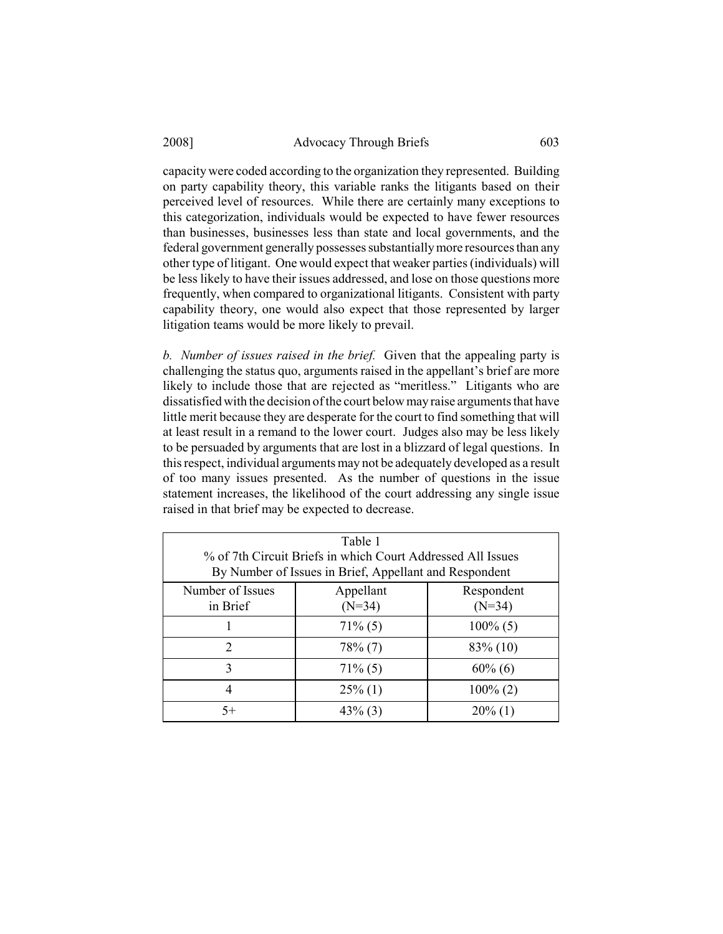capacity were coded according to the organization they represented. Building on party capability theory, this variable ranks the litigants based on their perceived level of resources. While there are certainly many exceptions to this categorization, individuals would be expected to have fewer resources than businesses, businesses less than state and local governments, and the federal government generally possesses substantially more resources than any other type of litigant. One would expect that weaker parties (individuals) will be less likely to have their issues addressed, and lose on those questions more frequently, when compared to organizational litigants. Consistent with party capability theory, one would also expect that those represented by larger litigation teams would be more likely to prevail.

*b. Number of issues raised in the brief.* Given that the appealing party is challenging the status quo, arguments raised in the appellant's brief are more likely to include those that are rejected as "meritless." Litigants who are dissatisfied with the decision of the court below may raise arguments that have little merit because they are desperate for the court to find something that will at least result in a remand to the lower court. Judges also may be less likely to be persuaded by arguments that are lost in a blizzard of legal questions. In this respect, individual arguments may not be adequately developed as a result of too many issues presented. As the number of questions in the issue statement increases, the likelihood of the court addressing any single issue raised in that brief may be expected to decrease.

| Table 1<br>% of 7th Circuit Briefs in which Court Addressed All Issues |                                                 |             |  |  |
|------------------------------------------------------------------------|-------------------------------------------------|-------------|--|--|
| By Number of Issues in Brief, Appellant and Respondent                 |                                                 |             |  |  |
| Number of Issues<br>in Brief                                           | Appellant<br>Respondent<br>$(N=34)$<br>$(N=34)$ |             |  |  |
|                                                                        | $71\%$ (5)                                      | $100\%$ (5) |  |  |
| $\mathfrak{D}$                                                         | $78\%$ (7)                                      | 83% (10)    |  |  |
| 3                                                                      | $71\%$ (5)                                      | $60\%$ (6)  |  |  |
| 4                                                                      | $25\%$ (1)                                      | $100\% (2)$ |  |  |
| $5+$                                                                   | $43\%$ (3)                                      | $20\%$ (1)  |  |  |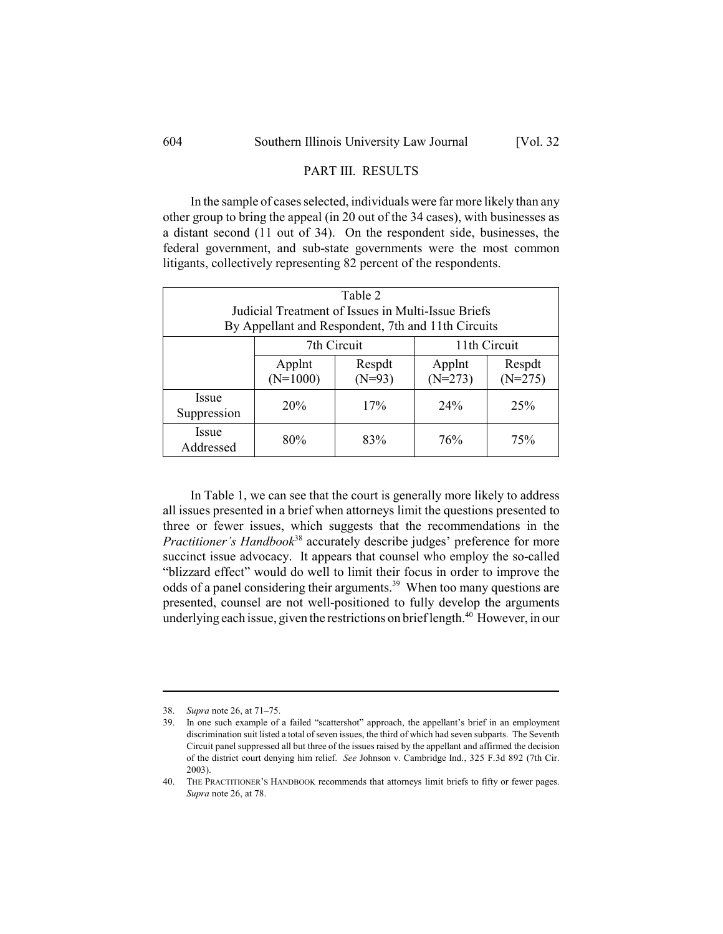#### PART III. RESULTS

In the sample of cases selected, individuals were far more likely than any other group to bring the appeal (in 20 out of the 34 cases), with businesses as a distant second (11 out of 34). On the respondent side, businesses, the federal government, and sub-state governments were the most common litigants, collectively representing 82 percent of the respondents.

| Table 2                     |                                                                                                          |                    |                     |                     |  |
|-----------------------------|----------------------------------------------------------------------------------------------------------|--------------------|---------------------|---------------------|--|
|                             | Judicial Treatment of Issues in Multi-Issue Briefs<br>By Appellant and Respondent, 7th and 11th Circuits |                    |                     |                     |  |
|                             |                                                                                                          |                    |                     |                     |  |
|                             |                                                                                                          | 7th Circuit        |                     | 11th Circuit        |  |
|                             | Applnt<br>$(N=1000)$                                                                                     | Respdt<br>$(N=93)$ | Applnt<br>$(N=273)$ | Respdt<br>$(N=275)$ |  |
| <i>Issue</i><br>Suppression | 20%                                                                                                      | 17%                | 24%                 | 25%                 |  |
| <i>Issue</i><br>Addressed   | 80%                                                                                                      | 83%                | 76%                 | 75%                 |  |

In Table 1, we can see that the court is generally more likely to address all issues presented in a brief when attorneys limit the questions presented to three or fewer issues, which suggests that the recommendations in the *Practitioner's Handbook*38 accurately describe judges' preference for more succinct issue advocacy. It appears that counsel who employ the so-called "blizzard effect" would do well to limit their focus in order to improve the odds of a panel considering their arguments.<sup>39</sup> When too many questions are presented, counsel are not well-positioned to fully develop the arguments underlying each issue, given the restrictions on brief length.<sup>40</sup> However, in our

<sup>38.</sup> *Supra* note 26, at 71–75.

<sup>39.</sup> In one such example of a failed "scattershot" approach, the appellant's brief in an employment discrimination suit listed a total of seven issues, the third of which had seven subparts. The Seventh Circuit panel suppressed all but three of the issues raised by the appellant and affirmed the decision of the district court denying him relief. *See* Johnson v. Cambridge Ind., 325 F.3d 892 (7th Cir. 2003).

<sup>40.</sup> THE PRACTITIONER'S HANDBOOK recommends that attorneys limit briefs to fifty or fewer pages. *Supra* note 26, at 78.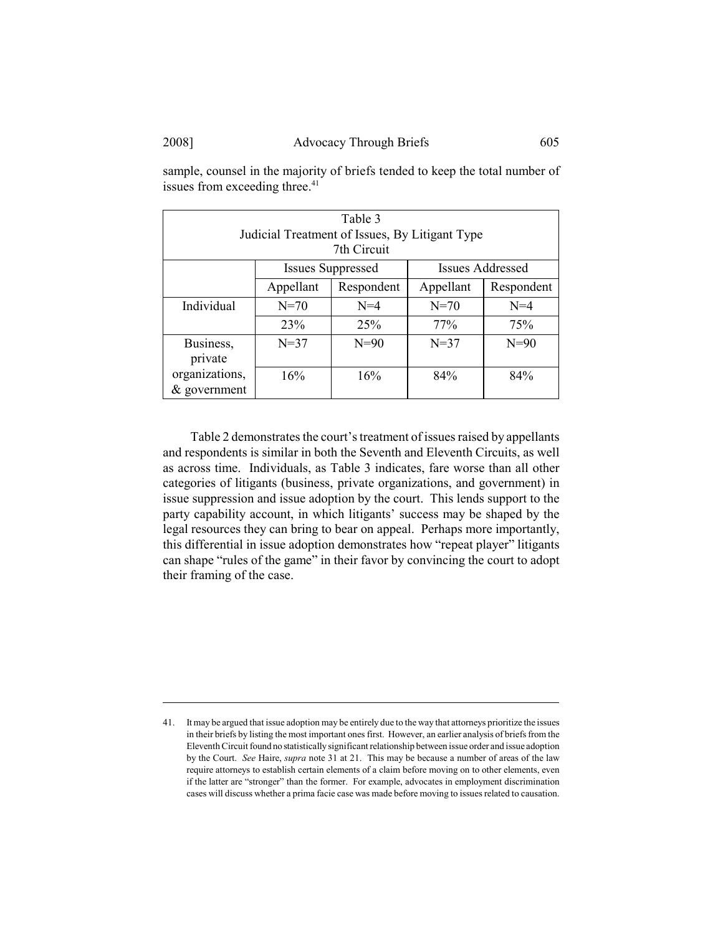| Table 3<br>Judicial Treatment of Issues, By Litigant Type<br>7th Circuit |                                                     |            |           |            |
|--------------------------------------------------------------------------|-----------------------------------------------------|------------|-----------|------------|
|                                                                          | <b>Issues Addressed</b><br><b>Issues Suppressed</b> |            |           |            |
|                                                                          | Appellant                                           | Respondent | Appellant | Respondent |
| Individual                                                               | $N=70$                                              | $N=4$      | $N = 70$  | $N=4$      |
|                                                                          | 23%                                                 | 25%        | 77%       | 75%        |
| Business,                                                                | $N = 37$                                            | $N=90$     | $N=37$    | $N=90$     |
| private                                                                  |                                                     |            |           |            |
| organizations,                                                           | 16%                                                 | 16%        | 84%       | 84%        |
| $&$ government                                                           |                                                     |            |           |            |

sample, counsel in the majority of briefs tended to keep the total number of issues from exceeding three.<sup>41</sup>

Table 2 demonstrates the court's treatment of issues raised by appellants and respondents is similar in both the Seventh and Eleventh Circuits, as well as across time. Individuals, as Table 3 indicates, fare worse than all other categories of litigants (business, private organizations, and government) in issue suppression and issue adoption by the court. This lends support to the party capability account, in which litigants' success may be shaped by the legal resources they can bring to bear on appeal. Perhaps more importantly, this differential in issue adoption demonstrates how "repeat player" litigants can shape "rules of the game" in their favor by convincing the court to adopt their framing of the case.

<sup>41.</sup> It may be argued that issue adoption may be entirely due to the way that attorneys prioritize the issues in their briefs by listing the most important ones first. However, an earlier analysis of briefs from the Eleventh Circuit found no statistically significant relationship between issue order and issue adoption by the Court. *See* Haire, *supra* note 31 at 21. This may be because a number of areas of the law require attorneys to establish certain elements of a claim before moving on to other elements, even if the latter are "stronger" than the former. For example, advocates in employment discrimination cases will discuss whether a prima facie case was made before moving to issues related to causation.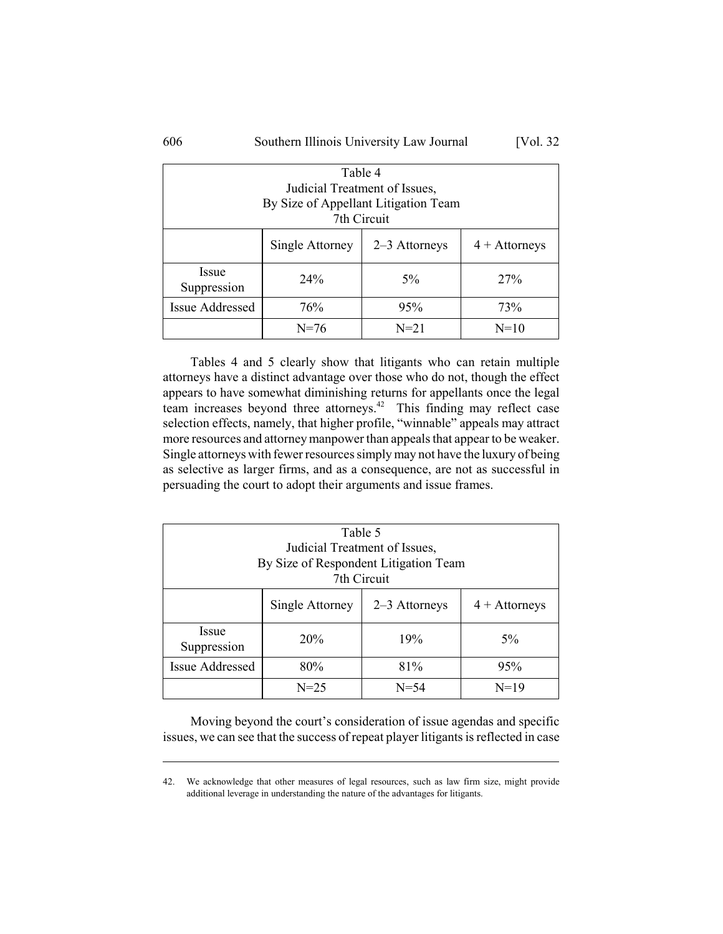| Table 4                       |                                                     |             |        |  |  |  |
|-------------------------------|-----------------------------------------------------|-------------|--------|--|--|--|
| Judicial Treatment of Issues, |                                                     |             |        |  |  |  |
|                               | By Size of Appellant Litigation Team                |             |        |  |  |  |
|                               |                                                     | 7th Circuit |        |  |  |  |
|                               | Single Attorney<br>2–3 Attorneys<br>$4 +$ Attorneys |             |        |  |  |  |
| Issue<br>Suppression          | 24%                                                 | $5\%$       | 27%    |  |  |  |
| <b>Issue Addressed</b>        | 76%<br>73%<br>95%                                   |             |        |  |  |  |
|                               | $N = 76$                                            | $N = 21$    | $N=10$ |  |  |  |

Tables 4 and 5 clearly show that litigants who can retain multiple attorneys have a distinct advantage over those who do not, though the effect appears to have somewhat diminishing returns for appellants once the legal team increases beyond three attorneys.<sup>42</sup> This finding may reflect case selection effects, namely, that higher profile, "winnable" appeals may attract more resources and attorney manpower than appeals that appear to be weaker. Single attorneys with fewer resources simply may not have the luxury of being as selective as larger firms, and as a consequence, are not as successful in persuading the court to adopt their arguments and issue frames.

| Table 5<br>Judicial Treatment of Issues,<br>By Size of Respondent Litigation Team<br>7th Circuit |                                                     |          |        |  |  |
|--------------------------------------------------------------------------------------------------|-----------------------------------------------------|----------|--------|--|--|
|                                                                                                  | Single Attorney<br>2–3 Attorneys<br>$4 +$ Attorneys |          |        |  |  |
| <i>Issue</i><br>Suppression                                                                      | 20%                                                 | 19%      | $5\%$  |  |  |
| <b>Issue Addressed</b>                                                                           | 80%                                                 | 81%      | 95%    |  |  |
|                                                                                                  | $N = 25$                                            | $N = 54$ | $N=19$ |  |  |

Moving beyond the court's consideration of issue agendas and specific issues, we can see that the success of repeat player litigants is reflected in case

<sup>42.</sup> We acknowledge that other measures of legal resources, such as law firm size, might provide additional leverage in understanding the nature of the advantages for litigants.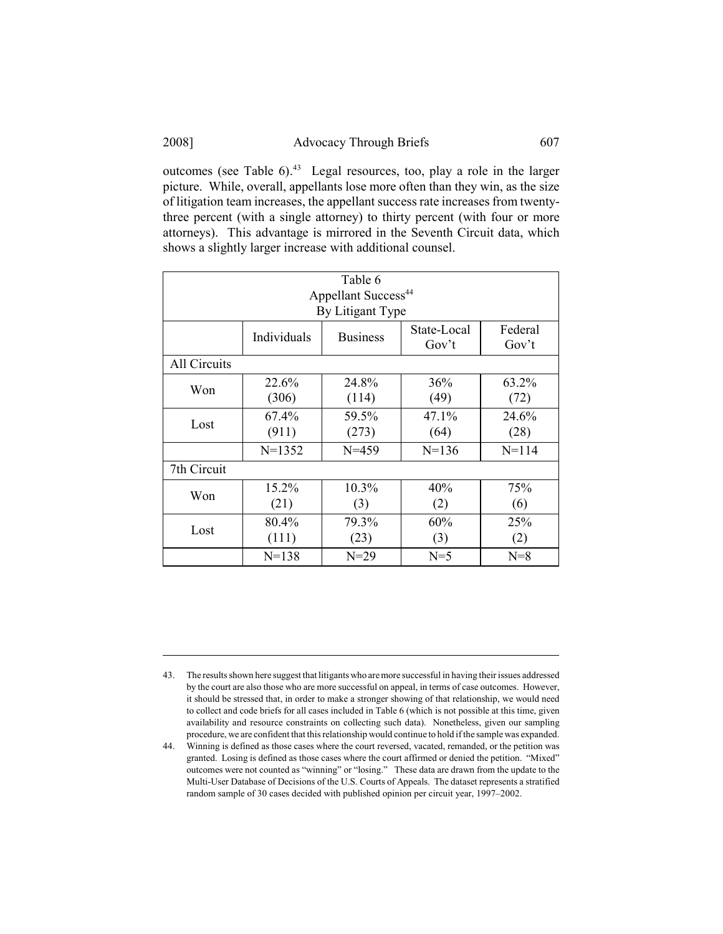outcomes (see Table  $6$ ).<sup>43</sup> Legal resources, too, play a role in the larger picture. While, overall, appellants lose more often than they win, as the size of litigation team increases, the appellant success rate increases from twentythree percent (with a single attorney) to thirty percent (with four or more attorneys). This advantage is mirrored in the Seventh Circuit data, which shows a slightly larger increase with additional counsel.

| Table 6<br>Appellant Success <sup>44</sup> |                |                  |                      |                  |
|--------------------------------------------|----------------|------------------|----------------------|------------------|
|                                            |                | By Litigant Type |                      |                  |
|                                            | Individuals    | <b>Business</b>  | State-Local<br>Gov't | Federal<br>Gov't |
| <b>All Circuits</b>                        |                |                  |                      |                  |
| Won                                        | 22.6%<br>(306) | 24.8%<br>(114)   | 36%<br>(49)          | 63.2%<br>(72)    |
| Lost                                       | 67.4%<br>(911) | 59.5%<br>(273)   | 47.1%<br>(64)        | 24.6%<br>(28)    |
|                                            | $N = 1352$     | $N = 459$        | $N = 136$            | $N = 114$        |
| 7th Circuit                                |                |                  |                      |                  |
| Won                                        | 15.2%<br>(21)  | 10.3%<br>(3)     | 40%<br>(2)           | 75%<br>(6)       |
| Lost                                       | 80.4%<br>(111) | 79.3%<br>(23)    | 60%<br>(3)           | 25%<br>(2)       |
|                                            | $N=138$        | $N=29$           | $N=5$                | $N=8$            |

<sup>43.</sup> The results shown here suggest that litigants who are more successful in having their issues addressed by the court are also those who are more successful on appeal, in terms of case outcomes. However, it should be stressed that, in order to make a stronger showing of that relationship, we would need to collect and code briefs for all cases included in Table 6 (which is not possible at this time, given availability and resource constraints on collecting such data). Nonetheless, given our sampling procedure, we are confident that this relationship would continue to hold if the sample was expanded.

<sup>44.</sup> Winning is defined as those cases where the court reversed, vacated, remanded, or the petition was granted. Losing is defined as those cases where the court affirmed or denied the petition. "Mixed" outcomes were not counted as "winning" or "losing." These data are drawn from the update to the Multi-User Database of Decisions of the U.S. Courts of Appeals. The dataset represents a stratified random sample of 30 cases decided with published opinion per circuit year, 1997–2002.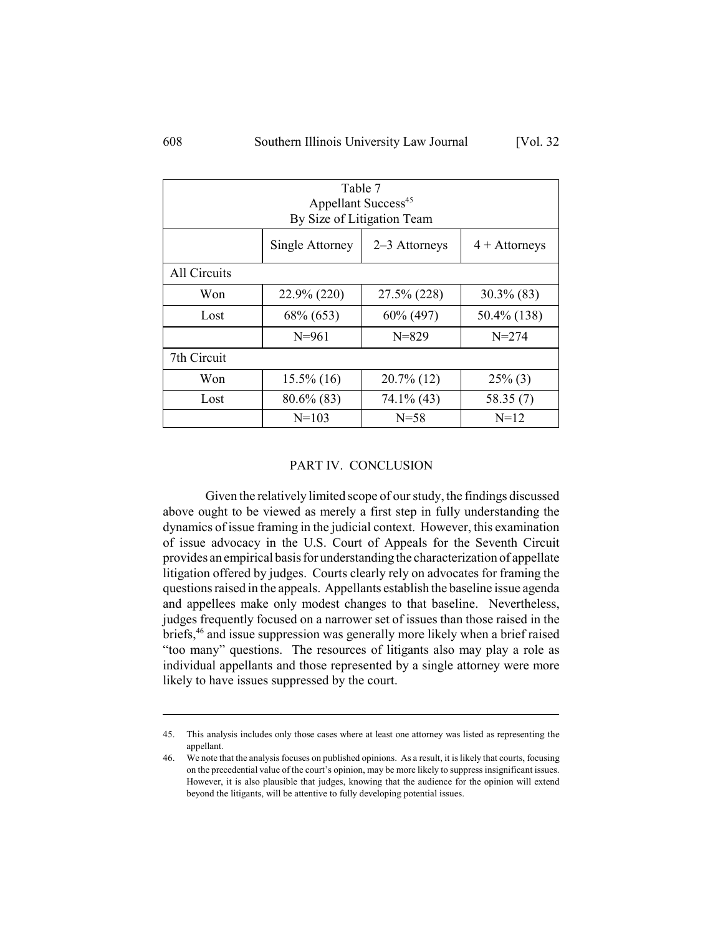| Table 7<br>Appellant Success <sup>45</sup><br>By Size of Litigation Team |                                            |               |               |  |
|--------------------------------------------------------------------------|--------------------------------------------|---------------|---------------|--|
| Single Attorney<br>2–3 Attorneys<br>$4 +$ Attorneys                      |                                            |               |               |  |
| All Circuits                                                             |                                            |               |               |  |
| Won                                                                      | 22.9% (220)                                | 27.5% (228)   | $30.3\%$ (83) |  |
| Lost                                                                     | 68% (653)<br>60% (497)<br>50.4% (138)      |               |               |  |
|                                                                          | $N = 961$                                  | $N = 829$     | $N = 274$     |  |
| 7th Circuit                                                              |                                            |               |               |  |
| Won                                                                      | $15.5\%$ (16)                              | $20.7\%$ (12) | $25\%$ (3)    |  |
| Lost                                                                     | $80.6\%$ (83)<br>$74.1\%$ (43)<br>58.35(7) |               |               |  |
|                                                                          | $N=103$                                    | $N = 58$      | $N=12$        |  |

#### PART IV. CONCLUSION

Given the relatively limited scope of our study, the findings discussed above ought to be viewed as merely a first step in fully understanding the dynamics of issue framing in the judicial context. However, this examination of issue advocacy in the U.S. Court of Appeals for the Seventh Circuit provides an empirical basis for understanding the characterization of appellate litigation offered by judges. Courts clearly rely on advocates for framing the questions raised in the appeals. Appellants establish the baseline issue agenda and appellees make only modest changes to that baseline. Nevertheless, judges frequently focused on a narrower set of issues than those raised in the briefs,<sup>46</sup> and issue suppression was generally more likely when a brief raised "too many" questions. The resources of litigants also may play a role as individual appellants and those represented by a single attorney were more likely to have issues suppressed by the court.

<sup>45.</sup> This analysis includes only those cases where at least one attorney was listed as representing the appellant.

<sup>46.</sup> We note that the analysis focuses on published opinions. As a result, it is likely that courts, focusing on the precedential value of the court's opinion, may be more likely to suppress insignificant issues. However, it is also plausible that judges, knowing that the audience for the opinion will extend beyond the litigants, will be attentive to fully developing potential issues.